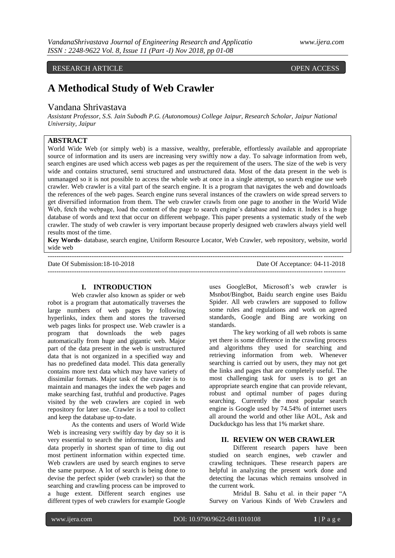# RESEARCH ARTICLE **OPEN ACCESS**

# **A Methodical Study of Web Crawler**

# Vandana Shrivastava

*Assistant Professor, S.S. Jain Subodh P.G. (Autonomous) College Jaipur, Research Scholar, Jaipur National University, Jaipur*

# **ABSTRACT**

World Wide Web (or simply web) is a massive, wealthy, preferable, effortlessly available and appropriate source of information and its users are increasing very swiftly now a day. To salvage information from web, search engines are used which access web pages as per the requirement of the users. The size of the web is very wide and contains structured, semi structured and unstructured data. Most of the data present in the web is unmanaged so it is not possible to access the whole web at once in a single attempt, so search engine use web crawler. Web crawler is a vital part of the search engine. It is a program that navigates the web and downloads the references of the web pages. Search engine runs several instances of the crawlers on wide spread servers to get diversified information from them. The web crawler crawls from one page to another in the World Wide Web, fetch the webpage, load the content of the page to search engine's database and index it. Index is a huge database of words and text that occur on different webpage. This paper presents a systematic study of the web crawler. The study of web crawler is very important because properly designed web crawlers always yield well results most of the time.

**Key Words**- database, search engine, Uniform Resource Locator, Web Crawler, web repository, website, world wide web

-------------------------------------------------------------------------------------------------------------------------------------- Date Of Submission:18-10-2018 Date Of Acceptance: 04-11-2018

#### ---------------------------------------------------------------------------------------------------------------------------------------

### **I. INTRODUCTION**

Web crawler also known as spider or web robot is a program that automatically traverses the large numbers of web pages by following hyperlinks, index them and stores the traversed web pages links for prospect use. Web crawler is a program that downloads the web pages automatically from huge and gigantic web. Major part of the data present in the web is unstructured data that is not organized in a specified way and has no predefined data model. This data generally contains more text data which may have variety of dissimilar formats. Major task of the crawler is to maintain and manages the index the web pages and make searching fast, truthful and productive. Pages visited by the web crawlers are copied in web repository for later use. Crawler is a tool to collect and keep the database up-to-date.

As the contents and users of World Wide Web is increasing very swiftly day by day so it is very essential to search the information, links and data properly in shortest span of time to dig out most pertinent information within expected time. Web crawlers are used by search engines to serve the same purpose. A lot of search is being done to devise the perfect spider (web crawler) so that the searching and crawling process can be improved to a huge extent. Different search engines use different types of web crawlers for example Google

uses GoogleBot, Microsoft's web crawler is Msnbot/Bingbot, Baidu search engine uses Baidu Spider. All web crawlers are supposed to follow some rules and regulations and work on agreed standards, Google and Bing are working on standards.

The key working of all web robots is same yet there is some difference in the crawling process and algorithms they used for searching and retrieving information from web. Whenever searching is carried out by users, they may not get the links and pages that are completely useful. The most challenging task for users is to get an appropriate search engine that can provide relevant, robust and optimal number of pages during searching. Currently the most popular search engine is Google used by 74.54% of internet users all around the world and other like AOL, Ask and Duckduckgo has less that 1% market share.

### **II. REVIEW ON WEB CRAWLER**

Different research papers have been studied on search engines, web crawler and crawling techniques. These research papers are helpful in analyzing the present work done and detecting the lacunas which remains unsolved in the current work.

Mridul B. Sahu et al. in their paper "A Survey on Various Kinds of Web Crawlers and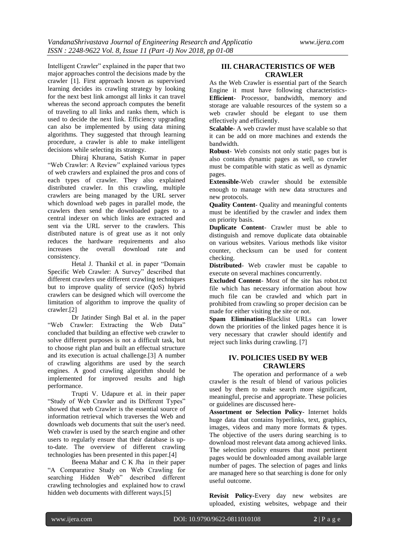Intelligent Crawler" explained in the paper that two major approaches control the decisions made by the crawler [1]. First approach known as supervised learning decides its crawling strategy by looking for the next best link amongst all links it can travel whereas the second approach computes the benefit of traveling to all links and ranks them, which is used to decide the next link. Efficiency upgrading can also be implemented by using data mining algorithms. They suggested that through learning procedure, a crawler is able to make intelligent decisions while selecting its strategy.

Dhiraj Khurana, Satish Kumar in paper "Web Crawler: A Review" explained various types of web crawlers and explained the pros and cons of each types of crawler. They also explained distributed crawler. In this crawling, multiple crawlers are being managed by the URL server which download web pages in parallel mode, the crawlers then send the downloaded pages to a central indexer on which links are extracted and sent via the URL server to the crawlers. This distributed nature is of great use as it not only reduces the hardware requirements and also increases the overall download rate and consistency.

Hetal J. Thankil et al. in paper "Domain Specific Web Crawler: A Survey" described that different crawlers use different crawling techniques but to improve quality of service (OoS) hybrid crawlers can be designed which will overcome the limitation of algorithm to improve the quality of crawler.[2]

Dr Jatinder Singh Bal et al. in the paper "Web Crawler: Extracting the Web Data" concluded that building an effective web crawler to solve different purposes is not a difficult task, but to choose right plan and built an effectual structure and its execution is actual challenge.[3] A number of crawling algorithms are used by the search engines. A good crawling algorithm should be implemented for improved results and high performance.

Trupti V. Udapure et al. in their paper "Study of Web Crawler and its Different Types" showed that web Crawler is the essential source of information retrieval which traverses the Web and downloads web documents that suit the user's need. Web crawler is used by the search engine and other users to regularly ensure that their database is upto-date. The overview of different crawling technologies has been presented in this paper.[4]

Beena Mahar and C K Jha in their paper "A Comparative Study on Web Crawling for searching Hidden Web" described different crawling technologies and explained how to crawl hidden web documents with different ways.[5]

#### **III. CHARACTERISTICS OF WEB CRAWLER**

As the Web Crawler is essential part of the Search Engine it must have following characteristics-**Efficient**- Processor, bandwidth, memory and storage are valuable resources of the system so a web crawler should be elegant to use them effectively and efficiently.

**Scalable**- A web crawler must have scalable so that it can be add on more machines and extends the bandwidth.

**Robust**- Web consists not only static pages but is also contains dynamic pages as well, so crawler must be compatible with static as well as dynamic pages.

**Extensible**-Web crawler should be extensible enough to manage with new data structures and new protocols.

**Quality Content**- Quality and meaningful contents must be identified by the crawler and index them on priority basis.

**Duplicate Content**- Crawler must be able to distinguish and remove duplicate data obtainable on various websites. Various methods like visitor counter, checksum can be used for content checking.

**Distributed**- Web crawler must be capable to execute on several machines concurrently.

**Excluded Content**- Most of the site has robot.txt file which has necessary information about how much file can be crawled and which part in prohibited from crawling so proper decision can be made for either visiting the site or not.

**Spam Elimination**-Blacklist URLs can lower down the priorities of the linked pages hence it is very necessary that crawler should identify and reject such links during crawling. [7]

# **IV. POLICIES USED BY WEB CRAWLERS**

The operation and performance of a web crawler is the result of blend of various policies used by them to make search more significant, meaningful, precise and appropriate. These policies or guidelines are discussed here-

**Assortment or Selection Policy**- Internet holds huge data that contains hyperlinks, text, graphics, images, videos and many more formats & types. The objective of the users during searching is to download most relevant data among achieved links. The selection policy ensures that most pertinent pages would be downloaded among available large number of pages. The selection of pages and links are managed here so that searching is done for only useful outcome.

**Revisit Policy-**Every day new websites are uploaded, existing websites, webpage and their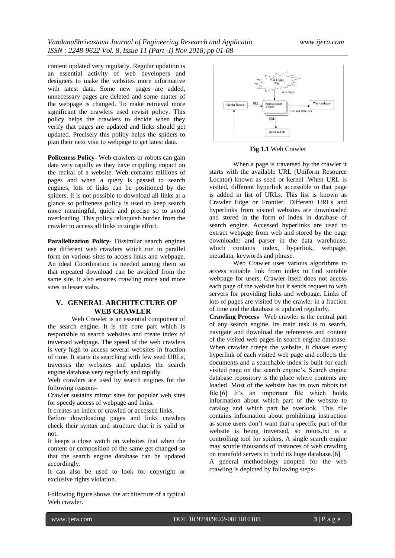content updated very regularly. Regular updation is an essential activity of web developers and designers to make the websites more informative with latest data. Some new pages are added, unnecessary pages are deleted and some matter of the webpage is changed. To make retrieval more significant the crawlers used revisit policy. This policy helps the crawlers to decide when they verify that pages are updated and links should get updated. Precisely this policy helps the spiders to plan their next visit to webpage to get latest data.

**Politeness Policy-** Web crawlers or robots can gain data very rapidly as they have crippling impact on the recital of a website. Web contains millions of pages and when a query is passed to search engines, lots of links can be positioned by the spiders. It is not possible to download all links at a glance so politeness policy is used to keep search more meaningful, quick and precise so to avoid overloading. This policy relinquish burden from the crawler to access all links in single effort.

**Parallelization Policy-** Dissimilar search engines use different web crawlers which run in parallel form on various sites to access links and webpage. An ideal Coordination is needed among them so that repeated download can be avoided from the same site. It also ensures crawling more and more sites in lesser stabs.

# **V. GENERAL ARCHITECTURE OF WEB CRAWLER**

Web Crawler is an essential component of the search engine. It is the core part which is responsible to search websites and create index of traversed webpage. The speed of the web crawlers is very high to access several websites in fraction of time. It starts its searching with few seed URLs, traverses the websites and updates the search engine database very regularly and rapidly.

Web crawlers are used by search engines for the following reasons-

Crawler sustains mirror sites for popular web sites for speedy access of webpage and links.

It creates an index of crawled or accessed links.

Before downloading pages and links crawlers check their syntax and structure that it is valid or not.

It keeps a close watch on websites that when the content or composition of the same get changed so that the search engine database can be updated accordingly.

It can also be used to look for copyright or exclusive rights violation.

Following figure shows the architecture of a typical Web crawler.



**Fig 1.1** Web Crawler

When a page is traversed by the crawler it starts with the available URL (Uniform Resource Locator) known as seed or kernel .When URL is visited, different hyperlink accessible to that page is added in list of URLs. This list is known as Crawler Edge or Frontier. Different URLs and hyperlinks from visited websites are downloaded and stored in the form of index in database of search engine. Accessed hyperlinks are used to extract webpage from web and stored by the page downloader and parser in the data warehouse, which contains index, hyperlink, webpage, metadata, keywords and phrase.

Web Crawler uses various algorithms to access suitable link from index to find suitable webpage for users. Crawler itself does not access each page of the website but it sends request to web servers for providing links and webpage. Links of lots of pages are visited by the crawler in a fraction of time and the database is updated regularly.

**Crawling Process** –Web crawler is the central part of any search engine. Its main task is to search, navigate and download the references and content of the visited web pages in search engine database. When crawler creeps the website, it chases every hyperlink of each visited web page and collects the documents and a searchable index is built for each visited page on the search engine's. Search engine database repository is the place where contents are loaded. Most of the website has its own robots.txt file.[6] It's an important file which holds information about which part of the website to catalog and which part be overlook. This file contains information about prohibiting instruction as some users don't want that a specific part of the website is being traversed, so rotots.txt is a controlling tool for spiders. A single search engine may scuttle thousands of instances of web crawling on manifold servers to build its huge database.[6] A general methodology adopted for the web crawling is depicted by following steps-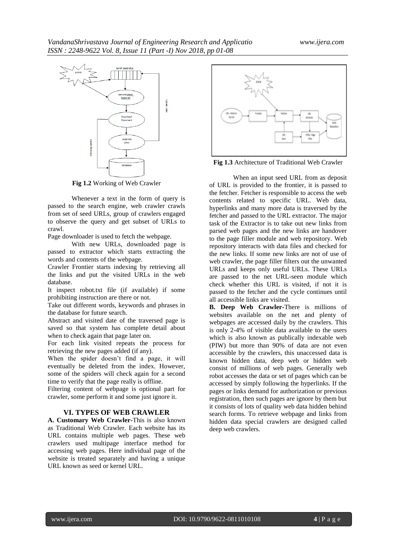

**Fig 1.2** Working of Web Crawler

Whenever a text in the form of query is passed to the search engine, web crawler crawls from set of seed URLs, group of crawlers engaged to observe the query and get subset of URLs to crawl.

Page downloader is used to fetch the webpage.

With new URLs, downloaded page is passed to extractor which starts extracting the words and contents of the webpage.

Crawler Frontier starts indexing by retrieving all the links and put the visited URLs in the web database.

It inspect robot.txt file (if available) if some prohibiting instruction are there or not.

Take out different words, keywords and phrases in the database for future search.

Abstract and visited date of the traversed page is saved so that system has complete detail about when to check again that page later on.

For each link visited repeats the process for retrieving the new pages added (if any).

When the spider doesn't find a page, it will eventually be deleted from the index. However, some of the spiders will check again for a second time to verify that the page really is offline.

Filtering content of webpage is optional part for crawler, some perform it and some just ignore it.

#### **VI. TYPES OF WEB CRAWLER**

**A. Customary Web Crawler-**This is also known as Traditional Web Crawler. Each website has its URL contains multiple web pages. These web crawlers used multipage interface method for accessing web pages. Here individual page of the website is treated separately and having a unique URL known as seed or kernel URL.



**Fig 1.3** Architecture of Traditional Web Crawler

When an input seed URL from as deposit of URL is provided to the frontier, it is passed to the fetcher. Fetcher is responsible to access the web contents related to specific URL. Web data, hyperlinks and many more data is traversed by the fetcher and passed to the URL extractor. The major task of the Extractor is to take out new links from parsed web pages and the new links are handover to the page filler module and web repository. Web repository interacts with data files and checked for the new links. If some new links are not of use of web crawler, the page filler filters out the unwanted URLs and keeps only useful URLs. These URLs are passed to the net URL-seen module which check whether this URL is visited, if not it is passed to the fetcher and the cycle continues until all accessible links are visited.

**B. Deep Web Crawler-**There is millions of websites available on the net and plenty of webpages are accessed daily by the crawlers. This is only 2-4% of visible data available to the users which is also known as publically indexable web (PIW) but more than 90% of data are not even accessible by the crawlers, this unaccessed data is known hidden data, deep web or hidden web consist of millions of web pages. Generally web robot accesses the data or set of pages which can be accessed by simply following the hyperlinks. If the pages or links demand for authorization or previous registration, then such pages are ignore by them but it consists of lots of quality web data hidden behind search forms. To retrieve webpage and links from hidden data special crawlers are designed called deep web crawlers.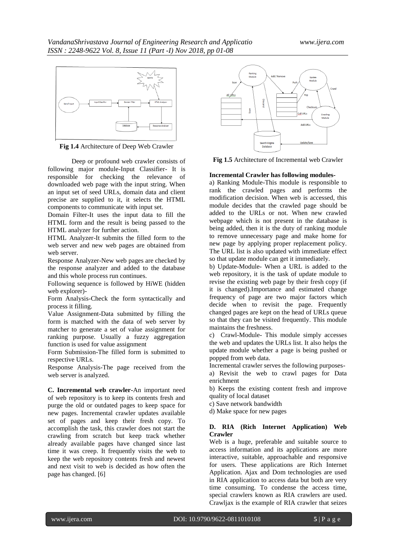

**Fig 1.4** Architecture of Deep Web Crawler

Deep or profound web crawler consists of following major module-Input Classifier- It is responsible for checking the relevance of downloaded web page with the input string. When an input set of seed URLs, domain data and client precise are supplied to it, it selects the HTML components to communicate with input set.

Domain Filter-It uses the input data to fill the HTML form and the result is being passed to the HTML analyzer for further action.

HTML Analyzer-It submits the filled form to the web server and new web pages are obtained from web server.

Response Analyzer-New web pages are checked by the response analyzer and added to the database and this whole process run continues.

Following sequence is followed by HiWE (hidden web explorer)-

Form Analysis-Check the form syntactically and process it filling.

Value Assignment-Data submitted by filling the form is matched with the data of web server by matcher to generate a set of value assignment for ranking purpose. Usually a fuzzy aggregation function is used for value assignment

Form Submission-The filled form is submitted to respective URLs.

Response Analysis-The page received from the web server is analyzed.

**C. Incremental web crawler-**An important need of web repository is to keep its contents fresh and purge the old or outdated pages to keep space for new pages. Incremental crawler updates available set of pages and keep their fresh copy. To accomplish the task, this crawler does not start the crawling from scratch but keep track whether already available pages have changed since last time it was creep. It frequently visits the web to keep the web repository contents fresh and newest and next visit to web is decided as how often the page has changed. [6]



**Fig 1.5** Architecture of Incremental web Crawler

#### **Incremental Crawler has following modules-**

a) Ranking Module-This module is responsible to rank the crawled pages and performs the modification decision. When web is accessed, this module decides that the crawled page should be added to the URLs or not. When new crawled webpage which is not present in the database is being added, then it is the duty of ranking module to remove unnecessary page and make home for new page by applying proper replacement policy. The URL list is also updated with immediate effect so that update module can get it immediately.

b) Update-Module- When a URL is added to the web repository, it is the task of update module to revise the existing web page by their fresh copy (if it is changed).Importance and estimated change frequency of page are two major factors which decide when to revisit the page. Frequently changed pages are kept on the head of URLs queue so that they can be visited frequently. This module maintains the freshness.

c) Crawl-Module- This module simply accesses the web and updates the URLs list. It also helps the update module whether a page is being pushed or popped from web data.

Incremental crawler serves the following purposes-

a) Revisit the web to crawl pages for Data enrichment

b) Keeps the existing content fresh and improve quality of local dataset

c) Save network bandwidth

d) Make space for new pages

#### **D. RIA (Rich Internet Application) Web Crawler**

Web is a huge, preferable and suitable source to access information and its applications are more interactive, suitable, approachable and responsive for users. These applications are Rich Internet Application. Ajax and Dom technologies are used in RIA application to access data but both are very time consuming. To condense the access time, special crawlers known as RIA crawlers are used. Crawljax is the example of RIA crawler that seizes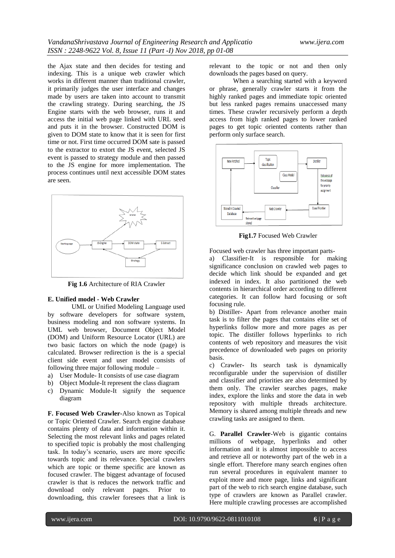the Ajax state and then decides for testing and indexing. This is a unique web crawler which works in different manner than traditional crawler, it primarily judges the user interface and changes made by users are taken into account to transmit the crawling strategy. During searching, the JS Engine starts with the web browser, runs it and access the initial web page linked with URL seed and puts it in the browser. Constructed DOM is given to DOM state to know that it is seen for first time or not. First time occurred DOM sate is passed to the extractor to extort the JS event, selected JS event is passed to strategy module and then passed to the JS engine for more implementation. The process continues until next accessible DOM states are seen.



**Fig 1.6** Architecture of RIA Crawler

#### **E. Unified model - Web Crawler**

UML or Unified Modeling Language used by software developers for software system, business modeling and non software systems. In UML web browser, Document Object Model (DOM) and Uniform Resource Locator (URL) are two basic factors on which the node (page) is calculated. Browser redirection is the is a special client side event and user model consists of following three major following module –

- a) User Module- It consists of use case diagram
- b) Object Module-It represent the class diagram
- c) Dynamic Module-It signify the sequence diagram

**F. Focused Web Crawler-**Also known as Topical or Topic Oriented Crawler. Search engine database contains plenty of data and information within it. Selecting the most relevant links and pages related to specified topic is probably the most challenging task. In today's scenario, users are more specific towards topic and its relevance. Special crawlers which are topic or theme specific are known as focused crawler. The biggest advantage of focused crawler is that is reduces the network traffic and download only relevant pages. Prior to downloading, this crawler foresees that a link is

relevant to the topic or not and then only downloads the pages based on query.

When a searching started with a keyword or phrase, generally crawler starts it from the highly ranked pages and immediate topic oriented but less ranked pages remains unaccessed many times. These crawler recursively perform a depth access from high ranked pages to lower ranked pages to get topic oriented contents rather than perform only surface search.



**Fig1.7** Focused Web Crawler

Focused web crawler has three important parts-

a) Classifier-It is responsible for making significance conclusion on crawled web pages to decide which link should be expanded and get indexed in index. It also partitioned the web contents in hierarchical order according to different categories. It can follow hard focusing or soft focusing rule.

b) Distiller- Apart from relevance another main task is to filter the pages that contains elite set of hyperlinks follow more and more pages as per topic. The distiller follows hyperlinks to rich contents of web repository and measures the visit precedence of downloaded web pages on priority basis.

c) Crawler- Its search task is dynamically reconfigurable under the supervision of distiller and classifier and priorities are also determined by them only. The crawler searches pages, make index, explore the links and store the data in web repository with multiple threads architecture. Memory is shared among multiple threads and new crawling tasks are assigned to them.

G. **Parallel Crawler**-Web is gigantic contains millions of webpage, hyperlinks and other information and it is almost impossible to access and retrieve all or noteworthy part of the web in a single effort. Therefore many search engines often run several procedures in equivalent manner to exploit more and more page, links and significant part of the web to rich search engine database, such type of crawlers are known as Parallel crawler. Here multiple crawling processes are accomplished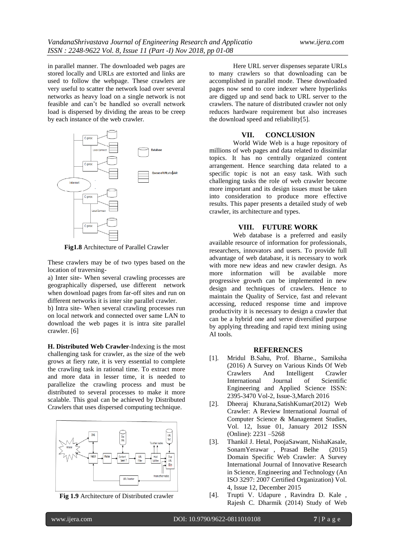in parallel manner. The downloaded web pages are stored locally and URLs are extorted and links are used to follow the webpage. These crawlers are very useful to scatter the network load over several networks as heavy load on a single network is not feasible and can't be handled so overall network load is dispersed by dividing the areas to be creep by each instance of the web crawler.



**Fig1.8** Architecture of Parallel Crawler

These crawlers may be of two types based on the location of traversing-

a) Inter site- When several crawling processes are geographically dispersed, use different network when download pages from far-off sites and run on different networks it is inter site parallel crawler.

b) Intra site- When several crawling processes run on local network and connected over same LAN to download the web pages it is intra site parallel crawler. [6]

**H. Distributed Web Crawler**-Indexing is the most challenging task for crawler, as the size of the web grows at fiery rate, it is very essential to complete the crawling task in rational time. To extract more and more data in lesser time, it is needed to parallelize the crawling process and must be distributed to several processes to make it more scalable. This goal can be achieved by Distributed Crawlers that uses dispersed computing technique.



**Fig 1.9** Architecture of Distributed crawler

Here URL server dispenses separate URLs to many crawlers so that downloading can be accomplished in parallel mode. These downloaded pages now send to core indexer where hyperlinks are digged up and send back to URL server to the crawlers. The nature of distributed crawler not only reduces hardware requirement but also increases the download speed and reliability[5].

#### **VII. CONCLUSION**

World Wide Web is a huge repository of millions of web pages and data related to dissimilar topics. It has no centrally organized content arrangement. Hence searching data related to a specific topic is not an easy task. With such challenging tasks the role of web crawler become more important and its design issues must be taken into consideration to produce more effective results. This paper presents a detailed study of web crawler, its architecture and types.

#### **VIII. FUTURE WORK**

Web database is a preferred and easily available resource of information for professionals, researchers, innovators and users. To provide full advantage of web database, it is necessary to work with more new ideas and new crawler design. As more information will be available more progressive growth can be implemented in new design and techniques of crawlers. Hence to maintain the Quality of Service, fast and relevant accessing, reduced response time and improve productivity it is necessary to design a crawler that can be a hybrid one and serve diversified purpose by applying threading and rapid text mining using AI tools.

#### **REFERENCES**

- [1]. Mridul B.Sahu, Prof. Bharne., Samiksha (2016) A Survey on Various Kinds Of Web Crawlers And Intelligent Crawler International Journal of Scientific Engineering and Applied Science ISSN: 2395-3470 Vol-2, Issue-3,March 2016
- [2]. Dheeraj Khurana,SatishKumar(2012) Web Crawler: A Review International Journal of Computer Science & Management Studies, Vol. 12, Issue 01, January 2012 ISSN (Online): 2231 –5268
- [3]. Thankil J. Hetal, PoojaSawant, NishaKasale, SonamYerawar , Prasad Belhe (2015) Domain Specific Web Crawler: A Survey International Journal of Innovative Research in Science, Engineering and Technology (An ISO 3297: 2007 Certified Organization) Vol. 4, Issue 12, December 2015
- [4]. Trupti V. Udapure , Ravindra D. Kale , Rajesh C. Dharmik (2014) Study of Web